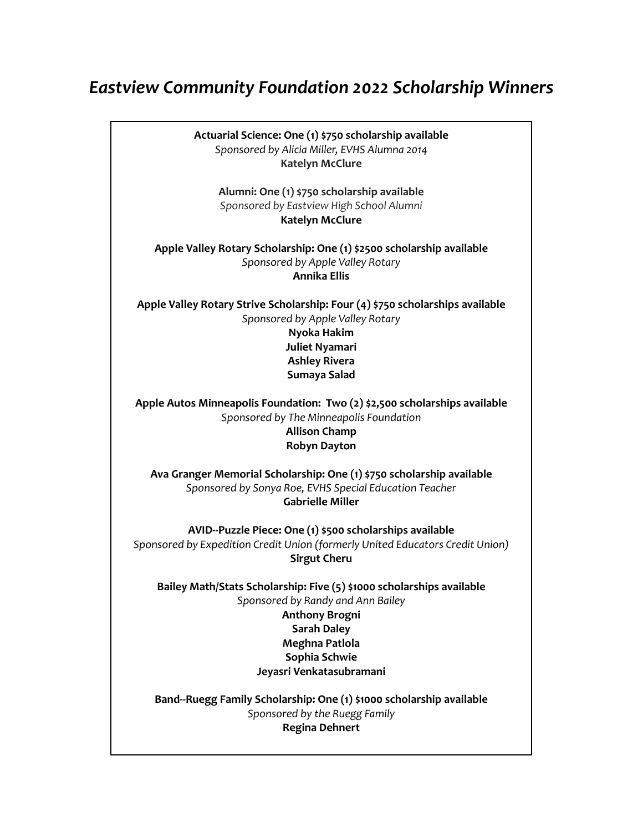## *Eastview Community Foundation 2022 Scholarship Winners*

**Actuarial Science: One (1) \$750 scholarship available** *Sponsored by Alicia Miller, EVHS Alumna 2014* **Katelyn McClure Alumni: One (1) \$750 scholarship available** *Sponsored by Eastview High School Alumni* **Katelyn McClure Apple Valley Rotary Scholarship: One (1) \$2500 scholarship available** *Sponsored by Apple Valley Rotary* **Annika Ellis Apple Valley Rotary Strive Scholarship: Four (4) \$750 scholarships available** *Sponsored by Apple Valley Rotary* **Nyoka Hakim Juliet Nyamari Ashley Rivera Sumaya Salad Apple Autos Minneapolis Foundation: Two (2) \$2,500 scholarships available** *Sponsored by The Minneapolis Foundation* **Allison Champ Robyn Dayton Ava Granger Memorial Scholarship: One (1) \$750 scholarship available** *Sponsored by Sonya Roe, EVHS Special Education Teacher* **Gabrielle Miller AVID--Puzzle Piece: One (1) \$500 scholarships available** *Sponsored by Expedition Credit Union (formerly United Educators Credit Union)* **Sirgut Cheru Bailey Math/Stats Scholarship: Five (5) \$1000 scholarships available** *Sponsored by Randy and Ann Bailey* **Anthony Brogni Sarah Daley Meghna Patlola Sophia Schwie Jeyasri Venkatasubramani Band--Ruegg Family Scholarship: One (1) \$1000 scholarship available** *Sponsored by the Ruegg Family* **Regina Dehnert**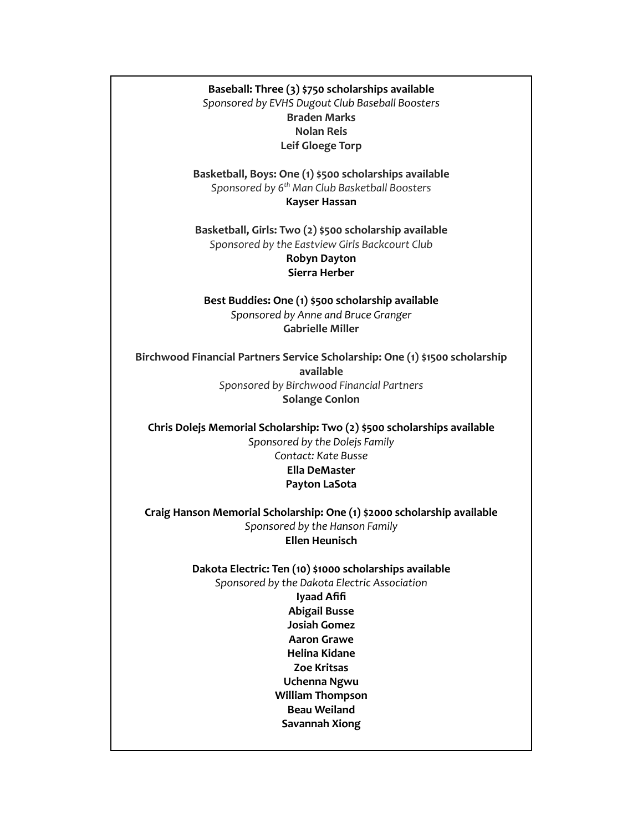**Baseball: Three (3) \$750 scholarships available** *Sponsored by EVHS Dugout Club Baseball Boosters* **Braden Marks Nolan Reis Leif Gloege Torp**

**Basketball, Boys: One (1) \$500 scholarships available** *Sponsored by 6 th Man Club Basketball Boosters* **Kayser Hassan**

**Basketball, Girls: Two (2) \$500 scholarship available** *Sponsored by the Eastview Girls Backcourt Club* **Robyn Dayton Sierra Herber**

**Best Buddies: One (1) \$500 scholarship available** *Sponsored by Anne and Bruce Granger* **Gabrielle Miller**

**Birchwood Financial Partners Service Scholarship: One (1) \$1500 scholarship available** *Sponsored by Birchwood Financial Partners* **Solange Conlon**

**Chris Dolejs Memorial Scholarship: Two (2) \$500 scholarships available** *Sponsored by the Dolejs Family Contact: Kate Busse* **Ella DeMaster Payton LaSota**

**Craig Hanson Memorial Scholarship: One (1) \$2000 scholarship available** *Sponsored by the Hanson Family* **Ellen Heunisch**

> **Dakota Electric: Ten (10) \$1000 scholarships available** *Sponsored by the Dakota Electric Association*

**Iyaad Afifi Abigail Busse Josiah Gomez Aaron Grawe Helina Kidane Zoe Kritsas Uchenna Ngwu William Thompson Beau Weiland Savannah Xiong**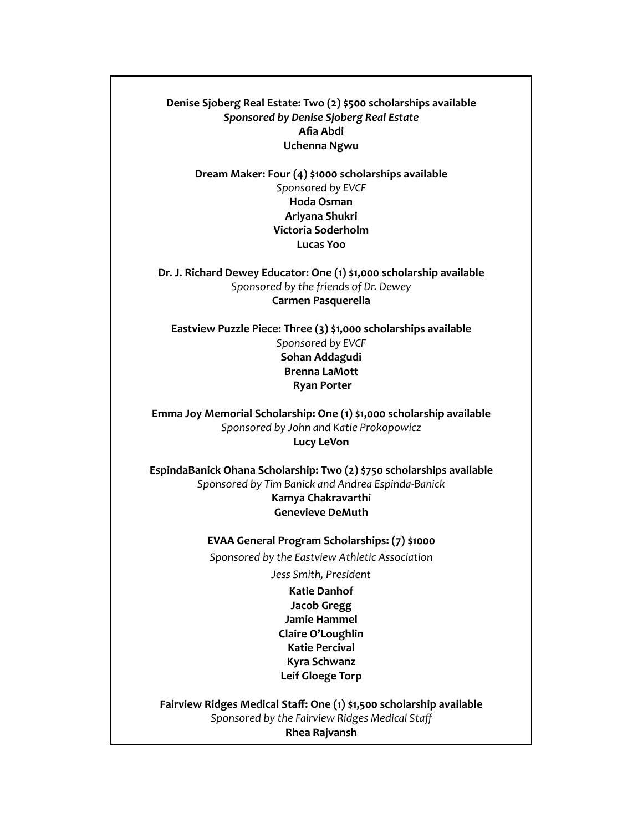**Denise Sjoberg Real Estate: Two (2) \$500 scholarships available** *Sponsored by Denise Sjoberg Real Estate* **Afia Abdi Uchenna Ngwu**

**Dream Maker: Four (4) \$1000 scholarships available** *Sponsored by EVCF* **Hoda Osman Ariyana Shukri Victoria Soderholm Lucas Yoo**

**Dr. J. Richard Dewey Educator: One (1) \$1,000 scholarship available** *Sponsored by the friends of Dr. Dewey* **Carmen Pasquerella**

**Eastview Puzzle Piece: Three (3) \$1,000 scholarships available** *Sponsored by EVCF* **Sohan Addagudi Brenna LaMott Ryan Porter**

**Emma Joy Memorial Scholarship: One (1) \$1,000 scholarship available** *Sponsored by John and Katie Prokopowicz* **Lucy LeVon**

**EspindaBanick Ohana Scholarship: Two (2) \$750 scholarships available** *Sponsored by Tim Banick and Andrea Espinda-Banick* **Kamya Chakravarthi Genevieve DeMuth**

> **EVAA General Program Scholarships: (7) \$1000** *Sponsored by the Eastview Athletic Association*

> > *Jess Smith, President*

**Katie Danhof Jacob Gregg Jamie Hammel Claire O'Loughlin Katie Percival Kyra Schwanz Leif Gloege Torp**

**Fairview Ridges Medical Staff: One (1) \$1,500 scholarship available** *Sponsored by the Fairview Ridges Medical Staff* **Rhea Rajvansh**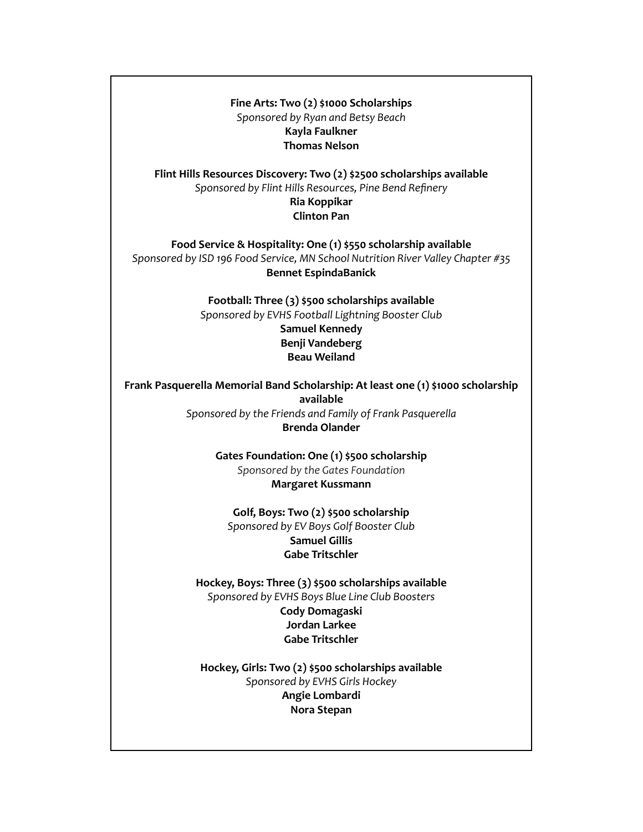**Fine Arts: Two (2) \$1000 Scholarships** *Sponsored by Ryan and Betsy Beach* **Kayla Faulkner Thomas Nelson**

**Flint Hills Resources Discovery: Two (2) \$2500 scholarships available** *Sponsored by Flint Hills Resources, Pine Bend Refinery* **Ria Koppikar Clinton Pan**

**Food Service & Hospitality: One (1) \$550 scholarship available** *Sponsored by ISD 196 Food Service, MN School Nutrition River Valley Chapter #35* **Bennet EspindaBanick**

> **Football: Three (3) \$500 scholarships available** *Sponsored by EVHS Football Lightning Booster Club*

**Samuel Kennedy Benji Vandeberg Beau Weiland**

**Frank Pasquerella Memorial Band Scholarship: At least one (1) \$1000 scholarship available** *Sponsored by the Friends and Family of Frank Pasquerella* **Brenda Olander**

> **Gates Foundation: One (1) \$500 scholarship** *Sponsored by the Gates Foundation* **Margaret Kussmann**

**Golf, Boys: Two (2) \$500 scholarship** *Sponsored by EV Boys Golf Booster Club* **Samuel Gillis Gabe Tritschler**

**Hockey, Boys: Three (3) \$500 scholarships available** *Sponsored by EVHS Boys Blue Line Club Boosters* **Cody Domagaski Jordan Larkee Gabe Tritschler**

**Hockey, Girls: Two (2) \$500 scholarships available** *Sponsored by EVHS Girls Hockey* **Angie Lombardi Nora Stepan**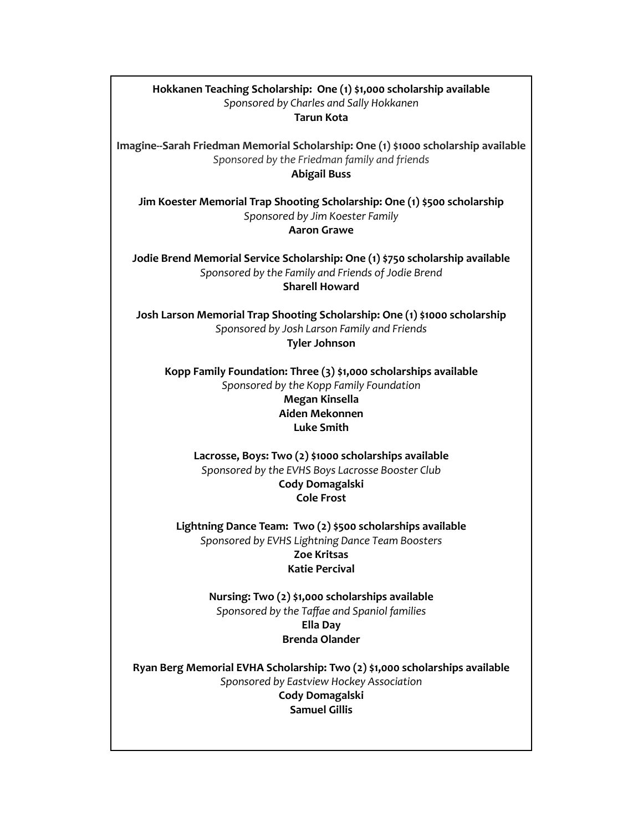## **Hokkanen Teaching Scholarship: One (1) \$1,000 scholarship available** *Sponsored by Charles and Sally Hokkanen* **Tarun Kota**

**Imagine--Sarah Friedman Memorial Scholarship: One (1) \$1000 scholarship available** *Sponsored by the Friedman family and friends* **Abigail Buss**

**Jim Koester Memorial Trap Shooting Scholarship: One (1) \$500 scholarship** *Sponsored by Jim Koester Family* **Aaron Grawe**

**Jodie Brend Memorial Service Scholarship: One (1) \$750 scholarship available** *Sponsored by the Family and Friends of Jodie Brend* **Sharell Howard**

**Josh Larson Memorial Trap Shooting Scholarship: One (1) \$1000 scholarship** *Sponsored by Josh Larson Family and Friends* **Tyler Johnson**

**Kopp Family Foundation: Three (3) \$1,000 scholarships available** *Sponsored by the Kopp Family Foundation* **Megan Kinsella Aiden Mekonnen Luke Smith**

**Lacrosse, Boys: Two (2) \$1000 scholarships available** *Sponsored by the EVHS Boys Lacrosse Booster Club* **Cody Domagalski Cole Frost**

**Lightning Dance Team: Two (2) \$500 scholarships available** *Sponsored by EVHS Lightning Dance Team Boosters* **Zoe Kritsas Katie Percival**

> **Nursing: Two (2) \$1,000 scholarships available** *Sponsored by the Taffae and Spaniol families* **Ella Day Brenda Olander**

**Ryan Berg Memorial EVHA Scholarship: Two (2) \$1,000 scholarships available** *Sponsored by Eastview Hockey Association* **Cody Domagalski Samuel Gillis**